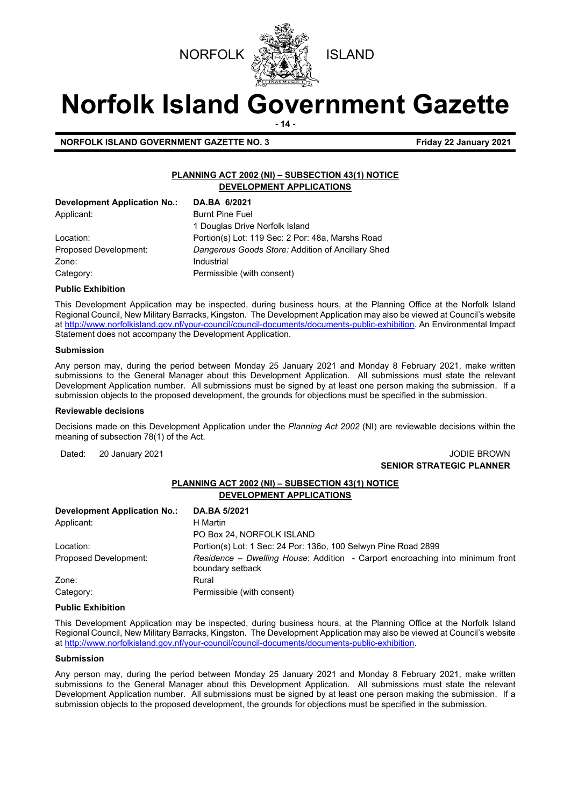



# **Norfolk Island Government Gazette**

**- 14 -**

**NORFOLK ISLAND GOVERNMENT GAZETTE NO. 3 Example 2021 Friday 22 January 2021** 

# **PLANNING ACT 2002 (NI) – SUBSECTION 43(1) NOTICE DEVELOPMENT APPLICATIONS**

| Development Application No.: | DA.BA 6/2021                                      |
|------------------------------|---------------------------------------------------|
| Applicant:                   | <b>Burnt Pine Fuel</b>                            |
|                              | 1 Douglas Drive Norfolk Island                    |
| Location:                    | Portion(s) Lot: 119 Sec: 2 Por: 48a, Marshs Road  |
| Proposed Development:        | Dangerous Goods Store: Addition of Ancillary Shed |
| Zone:                        | Industrial                                        |
| Category:                    | Permissible (with consent)                        |

# **Public Exhibition**

This Development Application may be inspected, during business hours, at the Planning Office at the Norfolk Island Regional Council, New Military Barracks, Kingston. The Development Application may also be viewed at Council's website a[t http://www.norfolkisland.gov.nf/your-council/council-documents/documents-public-exhibition.](http://www.norfolkisland.gov.nf/your-council/council-documents/documents-public-exhibition) An Environmental Impact Statement does not accompany the Development Application.

# **Submission**

Any person may, during the period between Monday 25 January 2021 and Monday 8 February 2021, make written submissions to the General Manager about this Development Application. All submissions must state the relevant Development Application number. All submissions must be signed by at least one person making the submission. If a submission objects to the proposed development, the grounds for objections must be specified in the submission.

## **Reviewable decisions**

Decisions made on this Development Application under the *Planning Act 2002* (NI) are reviewable decisions within the meaning of subsection 78(1) of the Act.

# Dated: 20 January 2021 **John Communist Communist Communist Communist Communist Communist Communist Communist Communist Communist Communist Communist Communist Communist Communist Communist Communist Communist Communist Com SENIOR STRATEGIC PLANNER**

# **PLANNING ACT 2002 (NI) – SUBSECTION 43(1) NOTICE DEVELOPMENT APPLICATIONS**

| <b>Development Application No.:</b> | DA.BA 5/2021                                                                                      |
|-------------------------------------|---------------------------------------------------------------------------------------------------|
| Applicant:                          | H Martin                                                                                          |
|                                     | PO Box 24, NORFOLK ISLAND                                                                         |
| Location:                           | Portion(s) Lot: 1 Sec: 24 Por: 1360, 100 Selwyn Pine Road 2899                                    |
| Proposed Development:               | Residence – Dwelling House: Addition - Carport encroaching into minimum front<br>boundary setback |
| Zone:                               | Rural                                                                                             |
| Category:                           | Permissible (with consent)                                                                        |

## **Public Exhibition**

This Development Application may be inspected, during business hours, at the Planning Office at the Norfolk Island Regional Council, New Military Barracks, Kingston. The Development Application may also be viewed at Council's website a[t http://www.norfolkisland.gov.nf/your-council/council-documents/documents-public-exhibition.](http://www.norfolkisland.gov.nf/your-council/council-documents/documents-public-exhibition) 

## **Submission**

Any person may, during the period between Monday 25 January 2021 and Monday 8 February 2021, make written submissions to the General Manager about this Development Application. All submissions must state the relevant Development Application number. All submissions must be signed by at least one person making the submission. If a submission objects to the proposed development, the grounds for objections must be specified in the submission.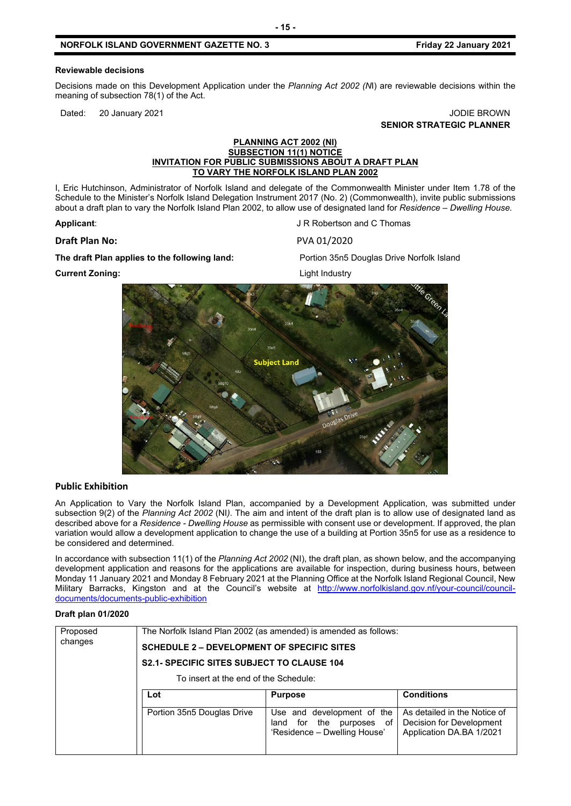# **NORFOLK ISLAND GOVERNMENT GAZETTE NO. 3 Friday 22 January 2021**

### **Reviewable decisions**

Decisions made on this Development Application under the *Planning Act 2002 (N*I) are reviewable decisions within the meaning of subsection 78(1) of the Act.

Dated: 20 January 2021 **Dates: 19 John Property American** Control of the United States of the United States of the United States of the United States of the United States of the United States of the United States of the Un **SENIOR STRATEGIC PLANNER**

## **PLANNING ACT 2002 (NI) SUBSECTION 11(1) NOTICE INVITATION FOR PUBLIC SUBMISSIONS ABOUT A DRAFT PLAN TO VARY THE NORFOLK ISLAND PLAN 2002**

I, Eric Hutchinson, Administrator of Norfolk Island and delegate of the Commonwealth Minister under Item 1.78 of the Schedule to the Minister's Norfolk Island Delegation Instrument 2017 (No. 2) (Commonwealth), invite public submissions about a draft plan to vary the Norfolk Island Plan 2002, to allow use of designated land for *Residence – Dwelling House.*

#### **Draft Plan No:** PVA 01/2020

**The draft Plan applies to the following land:** Portion 35n5 Douglas Drive Norfolk Island

**Applicant:** Applicant: Applicant: Applicant: Applicant: Applicant: Applicant: Applicant: Applicant: Applicant: Applicant: Applicant: Applicant: Applicant: Applicant: Applicant: Applicant: Applicant: Applicant: Applicant:

**Current Zoning:** Current Zoning:



# **Public Exhibition**

An Application to Vary the Norfolk Island Plan, accompanied by a Development Application, was submitted under subsection 9(2) of the *Planning Act 2002* (NI*)*. The aim and intent of the draft plan is to allow use of designated land as described above for a *Residence - Dwelling House* as permissible with consent use or development. If approved, the plan variation would allow a development application to change the use of a building at Portion 35n5 for use as a residence to be considered and determined.

In accordance with subsection 11(1) of the *Planning Act 2002* (NI), the draft plan, as shown below, and the accompanying development application and reasons for the applications are available for inspection, during business hours, between Monday 11 January 2021 and Monday 8 February 2021 at the Planning Office at the Norfolk Island Regional Council, New Military Barracks, Kingston and at the Council's website at [http://www.norfolkisland.gov.nf/your-council/council](http://www.norfolkisland.gov.nf/your-council/council-documents/documents-public-exhibition)[documents/documents-public-exhibition](http://www.norfolkisland.gov.nf/your-council/council-documents/documents-public-exhibition)

#### **Draft plan 01/2020**

| Proposed<br>changes | <b>SCHEDULE 2 – DEVELOPMENT OF SPECIFIC SITES</b><br><b>S2.1- SPECIFIC SITES SUBJECT TO CLAUSE 104</b> | The Norfolk Island Plan 2002 (as amended) is amended as follows:                             |                                                                                      |  |  |
|---------------------|--------------------------------------------------------------------------------------------------------|----------------------------------------------------------------------------------------------|--------------------------------------------------------------------------------------|--|--|
|                     | To insert at the end of the Schedule:                                                                  |                                                                                              |                                                                                      |  |  |
|                     | Lot                                                                                                    | <b>Purpose</b>                                                                               | <b>Conditions</b>                                                                    |  |  |
|                     | Portion 35n5 Douglas Drive                                                                             | Use and development of the<br>for the<br>purposes of<br>land<br>'Residence - Dwelling House' | As detailed in the Notice of<br>Decision for Development<br>Application DA.BA 1/2021 |  |  |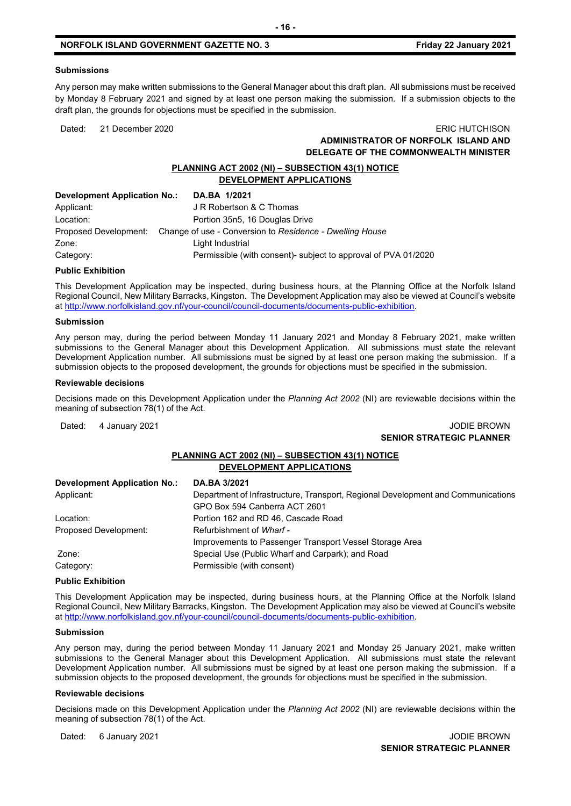#### **Submissions**

Any person may make written submissions to the General Manager about this draft plan. All submissions must be received by Monday 8 February 2021 and signed by at least one person making the submission. If a submission objects to the draft plan, the grounds for objections must be specified in the submission.

# Dated: 21 December 2020 ERIC HUTCHISON **ADMINISTRATOR OF NORFOLK ISLAND AND DELEGATE OF THE COMMONWEALTH MINISTER**

# **PLANNING ACT 2002 (NI) – SUBSECTION 43(1) NOTICE DEVELOPMENT APPLICATIONS**

| <b>Development Application No.:</b> | DA.BA 1/2021                                                                   |
|-------------------------------------|--------------------------------------------------------------------------------|
| Applicant:                          | J R Robertson & C Thomas                                                       |
| Location:                           | Portion 35n5, 16 Douglas Drive                                                 |
|                                     | Proposed Development: Change of use - Conversion to Residence - Dwelling House |
| Zone:                               | Light Industrial                                                               |
| Category:                           | Permissible (with consent)- subject to approval of PVA 01/2020                 |

## **Public Exhibition**

This Development Application may be inspected, during business hours, at the Planning Office at the Norfolk Island Regional Council, New Military Barracks, Kingston. The Development Application may also be viewed at Council's website a[t http://www.norfolkisland.gov.nf/your-council/council-documents/documents-public-exhibition.](http://www.norfolkisland.gov.nf/your-council/council-documents/documents-public-exhibition)

#### **Submission**

Any person may, during the period between Monday 11 January 2021 and Monday 8 February 2021, make written submissions to the General Manager about this Development Application. All submissions must state the relevant Development Application number. All submissions must be signed by at least one person making the submission. If a submission objects to the proposed development, the grounds for objections must be specified in the submission.

#### **Reviewable decisions**

Decisions made on this Development Application under the *Planning Act 2002* (NI) are reviewable decisions within the meaning of subsection 78(1) of the Act.

# Dated: 4 January 2021 **Journal of American Control of American Control of American Control of American Control of American Control of American Control of American Control of American Control of American Control of American SENIOR STRATEGIC PLANNER**

# **PLANNING ACT 2002 (NI) – SUBSECTION 43(1) NOTICE DEVELOPMENT APPLICATIONS**

| <b>Development Application No.:</b> | DA.BA 3/2021                                                                     |
|-------------------------------------|----------------------------------------------------------------------------------|
| Applicant:                          | Department of Infrastructure, Transport, Regional Development and Communications |
|                                     | GPO Box 594 Canberra ACT 2601                                                    |
| Location:                           | Portion 162 and RD 46, Cascade Road                                              |
| Proposed Development:               | Refurbishment of Wharf -                                                         |
|                                     | Improvements to Passenger Transport Vessel Storage Area                          |
| Zone:                               | Special Use (Public Wharf and Carpark); and Road                                 |
| Category:                           | Permissible (with consent)                                                       |

#### **Public Exhibition**

This Development Application may be inspected, during business hours, at the Planning Office at the Norfolk Island Regional Council, New Military Barracks, Kingston. The Development Application may also be viewed at Council's website a[t http://www.norfolkisland.gov.nf/your-council/council-documents/documents-public-exhibition.](http://www.norfolkisland.gov.nf/your-council/council-documents/documents-public-exhibition)

#### **Submission**

Any person may, during the period between Monday 11 January 2021 and Monday 25 January 2021, make written submissions to the General Manager about this Development Application. All submissions must state the relevant Development Application number. All submissions must be signed by at least one person making the submission. If a submission objects to the proposed development, the grounds for objections must be specified in the submission.

#### **Reviewable decisions**

Decisions made on this Development Application under the *Planning Act 2002* (NI) are reviewable decisions within the meaning of subsection 78(1) of the Act.

Dated: 6 January 2021 **Journal of American Control of American Control of American Control of American Control of American Control of American Control of American Control of American Control of American Control of American**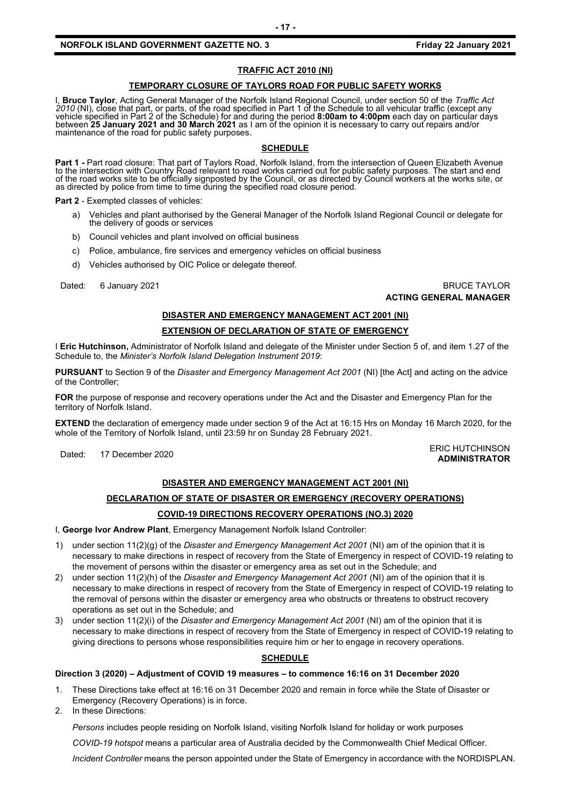# **NORFOLK ISLAND GOVERNMENT GAZETTE NO. 3** *CONTRESS 60 THE STAND 1021* **Friday 22 January 2021**

# **TRAFFIC ACT 2010 (NI)**

### **TEMPORARY CLOSURE OF TAYLORS ROAD FOR PUBLIC SAFETY WORKS**

I, **Bruce Taylor**, Acting General Manager of the Norfolk Island Regional Council, under section 50 of the *Traffic Act 2010* (NI), close that part, or parts, of the road specified in Part 1 of the Schedule to all vehicular traffic (except any vehicle specified in Part 2 of the Schedule) for and during the period **8:00am to 4:00pm** each day on particular days between **25 January 2021 and 30 March 2021** as I am of the opinion it is necessary to carry out repairs and/or<br>maintenance of the road for public safety purposes.

# **SCHEDULE**

**Part 1 -** Part road closure: That part of Taylors Road, Norfolk Island, from the intersection of Queen Elizabeth Avenue<br>to the intersection with Country Road relevant to road works carried out for public safety purposes. of the road works site to be officially signposted by the Council, or as directed by Council workers at the works site, or as directed by police from time to time during the specified road closure period.

**Part 2** - Exempted classes of vehicles:

- a) Vehicles and plant authorised by the General Manager of the Norfolk Island Regional Council or delegate for the delivery of goods or services
- b) Council vehicles and plant involved on official business
- c) Police, ambulance, fire services and emergency vehicles on official business
- d) Vehicles authorised by OIC Police or delegate thereof.

Dated: 6 January 2021 **BRUCE TAYLOR ACTING GENERAL MANAGER**

# **DISASTER AND EMERGENCY MANAGEMENT ACT 2001 (NI)**

## **EXTENSION OF DECLARATION OF STATE OF EMERGENCY**

I **Eric Hutchinson,** Administrator of Norfolk Island and delegate of the Minister under Section 5 of, and item 1.27 of the Schedule to, the *Minister's Norfolk Island Delegation Instrument 2019*:

**PURSUANT** to Section 9 of the *Disaster and Emergency Management Act 2001* (NI) [the Act] and acting on the advice of the Controller;

**FOR** the purpose of response and recovery operations under the Act and the Disaster and Emergency Plan for the territory of Norfolk Island.

**EXTEND** the declaration of emergency made under section 9 of the Act at 16:15 Hrs on Monday 16 March 2020, for the whole of the Territory of Norfolk Island, until 23:59 hr on Sunday 28 February 2021.

# Dated: 17 December 2020<br>Dated: 17 December 2020 **ADMINISTRATOR**

# **DISASTER AND EMERGENCY MANAGEMENT ACT 2001 (NI)**

## **DECLARATION OF STATE OF DISASTER OR EMERGENCY (RECOVERY OPERATIONS)**

## **COVID-19 DIRECTIONS RECOVERY OPERATIONS (NO.3) 2020**

I, **George Ivor Andrew Plant**, Emergency Management Norfolk Island Controller:

- 1) under section 11(2)(g) of the *Disaster and Emergency Management Act 2001* (NI) am of the opinion that it is necessary to make directions in respect of recovery from the State of Emergency in respect of COVID-19 relating to the movement of persons within the disaster or emergency area as set out in the Schedule; and
- 2) under section 11(2)(h) of the *Disaster and Emergency Management Act 2001* (NI) am of the opinion that it is necessary to make directions in respect of recovery from the State of Emergency in respect of COVID-19 relating to the removal of persons within the disaster or emergency area who obstructs or threatens to obstruct recovery operations as set out in the Schedule; and
- 3) under section 11(2)(i) of the *Disaster and Emergency Management Act 2001* (NI) am of the opinion that it is necessary to make directions in respect of recovery from the State of Emergency in respect of COVID-19 relating to giving directions to persons whose responsibilities require him or her to engage in recovery operations.

## **SCHEDULE**

#### **Direction 3 (2020) – Adjustment of COVID 19 measures – to commence 16:16 on 31 December 2020**

- 1. These Directions take effect at 16:16 on 31 December 2020 and remain in force while the State of Disaster or Emergency (Recovery Operations) is in force.
- 2. In these Directions:

*Persons* includes people residing on Norfolk Island, visiting Norfolk Island for holiday or work purposes

*COVID-19 hotspot* means a particular area of Australia decided by the Commonwealth Chief Medical Officer.

*Incident Controller* means the person appointed under the State of Emergency in accordance with the NORDISPLAN.